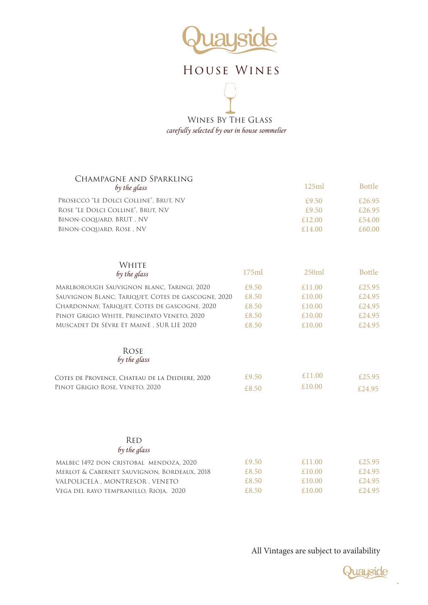

## House Wines

Wines By The Glass *carefully selected by our in house sommelier*

| Champagne and Sparkling<br>by the glass            |       | 125ml  | <b>Bottle</b> |
|----------------------------------------------------|-------|--------|---------------|
| PROSECCO "LE DOLCI COLLINE", BRUT, N.V.            |       | £9.50  | £26.95        |
| ROSE "LE DOLCI COLLINE", BRUT, N.V.                |       | £9.50  | £26.95        |
| BINON-COQUARD, BRUT, NV                            |       | £12.00 | £54.00        |
| BINON-COQUARD, ROSE, NV                            |       | £14.00 | £60.00        |
| WHITE<br>by the glass                              | 175ml | 250ml  | <b>Bottle</b> |
|                                                    |       |        |               |
| MARLBOROUGH SAUVIGNON BLANC, TARINGI, 2020         | £9.50 | £11.00 | £25.95        |
| SAUVIGNON BLANC, TARIQUET, COTES DE GASCOGNE, 2020 | £8.50 | £10.00 | £24.95        |
| CHARDONNAY, TARIQUET, COTES DE GASCOGNE, 2020      | £8.50 | £10.00 | £24.95        |
| PINOT GRIGIO WHITE, PRINCIPATO VENETO, 2020        | £8.50 | £10.00 | £24.95        |
| MUSCADET DE SÉVRE ET MAINE, SUR LIE 2020           | £8.50 | £10.00 | £24.95        |
| <b>ROSE</b><br>by the glass                        |       |        |               |
| COTES DE PROVENCE, CHATEAU DE LA DEIDIERE, 2020    | £9.50 | £11.00 | £25.95        |
| PINOT GRIGIO ROSE, VENETO, 2020                    | £8.50 | £10.00 | £24.95        |
|                                                    |       |        |               |
| <b>RED</b>                                         |       |        |               |
| by the glass                                       |       |        |               |
| MALBEC 1492 DON CRISTOBAL MENDOZA, 2020            | £9.50 | £11.00 | £25.95        |
| MERLOT & CABERNET SAUVIGNON, BORDEAUX, 2018        | £8.50 | £10.00 | £24.95        |
| VALPOLICELA, MONTRESOR, VENETO                     | £8.50 | £10.00 | £24.95        |
| VEGA DEL RAYO TEMPRANILLO, RIOJA, 2020             | £8.50 | £10.00 | £24.95        |
|                                                    |       |        |               |

All Vintages are subject to availability



 $\ddot{\phantom{0}}$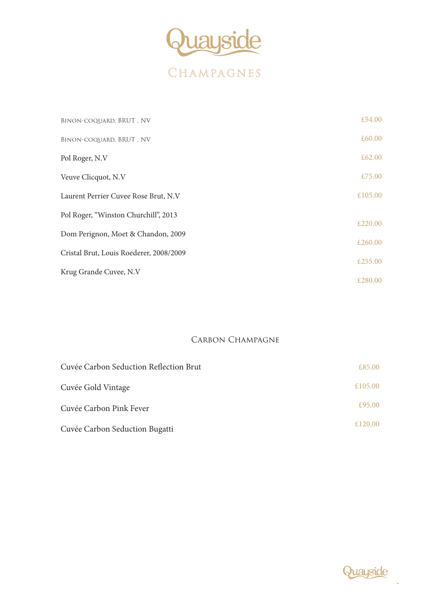

| BINON-COQUARD, BRUT, NV                 | £54.00  |
|-----------------------------------------|---------|
| BINON-COQUARD, BRUT, NV                 | £60.00  |
| Pol Roger, N.V                          | £62.00  |
| Veuve Clicquot, N.V                     | £75.00  |
| Laurent Perrier Cuvee Rose Brut, N.V    | £105.00 |
| Pol Roger, "Winston Churchill", 2013    | £220.00 |
| Dom Perignon, Moet & Chandon, 2009      |         |
| Cristal Brut, Louis Roederer, 2008/2009 | £260.00 |
|                                         | £255.00 |
| Krug Grande Cuvee, N.V                  | £280.00 |
|                                         |         |

### CARBON CHAMPAGNE

| Cuvée Carbon Seduction Reflection Brut | £85.00  |
|----------------------------------------|---------|
| Cuvée Gold Vintage                     | £105.00 |
| Cuvée Carbon Pink Fever                | £95.00  |
| Cuvée Carbon Seduction Bugatti         | £120.00 |

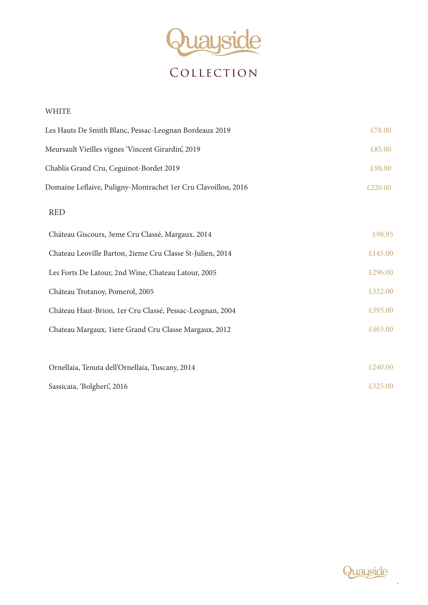

**COLLECTION** 

| <b>WHITE</b>                                                  |         |
|---------------------------------------------------------------|---------|
| Les Hauts De Smith Blanc, Pessac-Leognan Bordeaux 2019        | £78.00  |
| Meursault Vieilles vignes 'Vincent Girardin', 2019            | £85.00  |
| Chablis Grand Cru, Ceguinot-Bordet 2019                       | £98.00  |
| Domaine Leflaive, Puligny-Montrachet 1er Cru Clavoillon, 2016 | £220.00 |
| <b>RED</b>                                                    |         |
| Cháteau Giscours, 3eme Cru Classé, Margaux, 2014              | £98.95  |
| Chateau Leoville Barton, 2ieme Cru Classe St-Julien, 2014     | £145.00 |
| Les Forts De Latour, 2nd Wine, Chateau Latour, 2005           | £296.00 |
| Cháteau Trotanoy, Pomerol, 2005                               | £322.00 |
| Cháteau Haut-Brion, 1er Cru Classé, Pessac-Leognan, 2004      | £395.00 |
| Chateau Margaux, 1iere Grand Cru Classe Margaux, 2012         | £465.00 |
|                                                               |         |
| Ornellaia, Tenuta dell'Ornellaia, Tuscany, 2014               | £240.00 |
| Sassicaia, 'Bolgheri', 2016                                   | £325.00 |



 $\ddot{\phantom{0}}$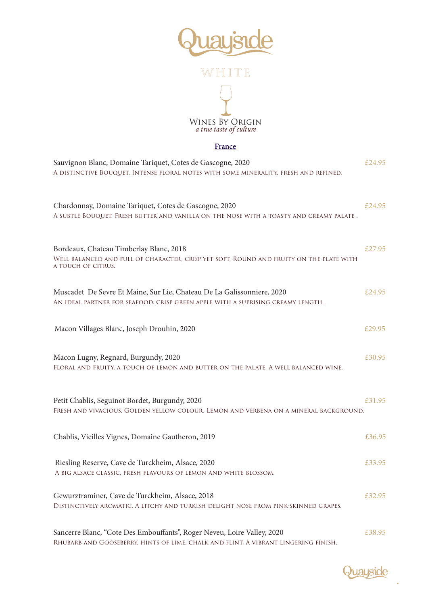

#### France

| Sauvignon Blanc, Domaine Tariquet, Cotes de Gascogne, 2020<br>A DISTINCTIVE BOUQUET. INTENSE FLORAL NOTES WITH SOME MINERALITY. FRESH AND REFINED.        | £24.95 |
|-----------------------------------------------------------------------------------------------------------------------------------------------------------|--------|
| Chardonnay, Domaine Tariquet, Cotes de Gascogne, 2020<br>A SUBTLE BOUQUET. FRESH BUTTER AND VANILLA ON THE NOSE WITH A TOASTY AND CREAMY PALATE .         | £24.95 |
| Bordeaux, Chateau Timberlay Blanc, 2018<br>WELL BALANCED AND FULL OF CHARACTER, CRISP YET SOFT, ROUND AND FRUITY ON THE PLATE WITH<br>A TOUCH OF CITRUS.  | £27.95 |
| Muscadet De Sevre Et Maine, Sur Lie, Chateau De La Galissonniere, 2020<br>AN IDEAL PARTNER FOR SEAFOOD. CRISP GREEN APPLE WITH A SUPRISING CREAMY LENGTH. | £24.95 |
| Macon Villages Blanc, Joseph Drouhin, 2020                                                                                                                | £29.95 |
| Macon Lugny, Regnard, Burgundy, 2020<br>FLORAL AND FRUITY. A TOUCH OF LEMON AND BUTTER ON THE PALATE. A WELL BALANCED WINE.                               | £30.95 |
| Petit Chablis, Seguinot Bordet, Burgundy, 2020<br>FRESH AND VIVACIOUS. GOLDEN YELLOW COLOUR. LEMON AND VERBENA ON A MINERAL BACKGROUND.                   | £31.95 |
| Chablis, Vieilles Vignes, Domaine Gautheron, 2019                                                                                                         | £36.95 |
| Riesling Reserve, Cave de Turckheim, Alsace, 2020<br>A BIG ALSACE CLASSIC, FRESH FLAVOURS OF LEMON AND WHITE BLOSSOM.                                     | £33.95 |
| Gewurztraminer, Cave de Turckheim, Alsace, 2018<br>DISTINCTIVELY AROMATIC. A LITCHY AND TURKISH DELIGHT NOSE FROM PINK-SKINNED GRAPES.                    | £32.95 |
| Sancerre Blanc, "Cote Des Embouffants", Roger Neveu, Loire Valley, 2020                                                                                   | £38.95 |

Rhubarb and Gooseberry, hints of lime, chalk and flint. A vibrant lingering finish.

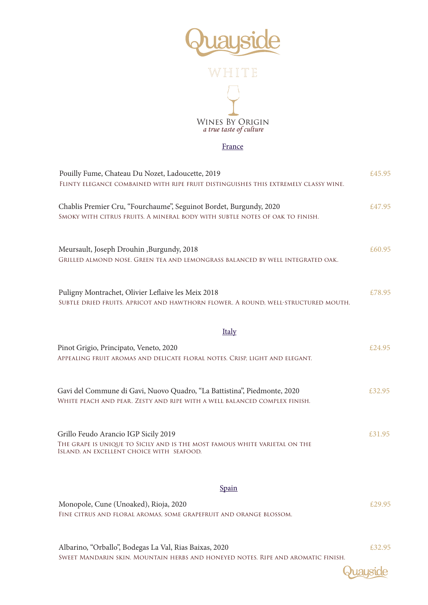

#### France

| Pouilly Fume, Chateau Du Nozet, Ladoucette, 2019<br>FLINTY ELEGANCE COMBAINED WITH RIPE FRUIT DISTINGUISHES THIS EXTREMELY CLASSY WINE.                         | £45.95 |
|-----------------------------------------------------------------------------------------------------------------------------------------------------------------|--------|
| Chablis Premier Cru, "Fourchaume", Seguinot Bordet, Burgundy, 2020<br>SMOKY WITH CITRUS FRUITS. A MINERAL BODY WITH SUBTLE NOTES OF OAK TO FINISH.              | £47.95 |
| Meursault, Joseph Drouhin , Burgundy, 2018<br>GRILLED ALMOND NOSE. GREEN TEA AND LEMONGRASS BALANCED BY WELL INTEGRATED OAK.                                    | £60.95 |
| Puligny Montrachet, Olivier Leflaive les Meix 2018<br>SUBTLE DRIED FRUITS. APRICOT AND HAWTHORN FLOWER. A ROUND, WELL-STRUCTURED MOUTH.                         | £78.95 |
| <b>Italy</b>                                                                                                                                                    |        |
| Pinot Grigio, Principato, Veneto, 2020<br>APPEALING FRUIT AROMAS AND DELICATE FLORAL NOTES. CRISP, LIGHT AND ELEGANT.                                           | £24.95 |
| Gavi del Commune di Gavi, Nuovo Quadro, "La Battistina", Piedmonte, 2020<br>WHITE PEACH AND PEAR. ZESTY AND RIPE WITH A WELL BALANCED COMPLEX FINISH.           | £32.95 |
| Grillo Feudo Arancio IGP Sicily 2019<br>THE GRAPE IS UNIQUE TO SICILY AND IS THE MOST FAMOUS WHITE VARIETAL ON THE<br>ISLAND. AN EXCELLENT CHOICE WITH SEAFOOD. | £31.95 |
| <b>Spain</b>                                                                                                                                                    |        |
| Monopole, Cune (Unoaked), Rioja, 2020<br>FINE CITRUS AND FLORAL AROMAS, SOME GRAPEFRUIT AND ORANGE BLOSSOM.                                                     | £29.95 |
| Albarino, "Orballo", Bodegas La Val, Rias Baixas, 2020                                                                                                          | £32.95 |

Sweet Mandarin skin. Mountain herbs and honeyed notes. Ripe and aromatic finish.

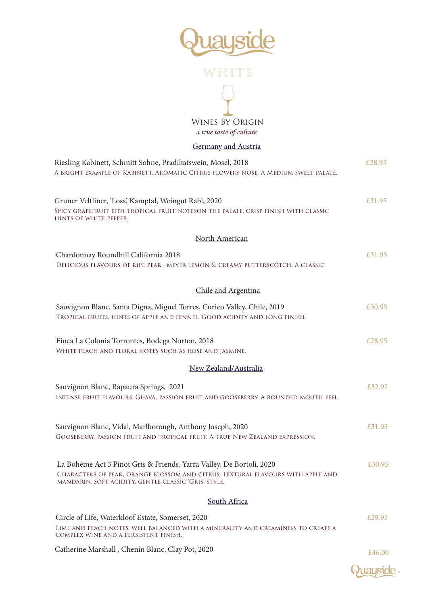

#### Germany and Austria

| Riesling Kabinett, Schmitt Sohne, Pradikatswein, Mosel, 2018                                                                                                                                                    | £28.95 |
|-----------------------------------------------------------------------------------------------------------------------------------------------------------------------------------------------------------------|--------|
| A BRIGHT EXAMPLE OF KABINETT. AROMATIC CITRUS FLOWERY NOSE. A MEDIUM SWEET PALATE.                                                                                                                              |        |
| Gruner Veltliner, 'Loss', Kamptal, Weingut Rabl, 2020<br>SPICY GRAPEFRUIT EITH TROPICAL FRUIT NOTESON THE PALATE, CRISP FINISH WITH CLASSIC<br>HINTS OF WHITE PEPPER.                                           | £31.95 |
| North American                                                                                                                                                                                                  |        |
| Chardonnay Roundhill California 2018<br>DELICIOUS FLAVOURS OF RIPE PEAR, MEYER LEMON & CREAMY BUTTERSCOTCH. A CLASSIC                                                                                           | £31.95 |
| Chile and Argentina                                                                                                                                                                                             |        |
| Sauvignon Blanc, Santa Digna, Miguel Torres, Curico Valley, Chile, 2019<br>TROPICAL FRUITS, HINTS OF APPLE AND FENNEL. GOOD ACIDITY AND LONG FINISH.                                                            | £30.95 |
| Finca La Colonia Torrontes, Bodega Norton, 2018<br>WHITE PEACH AND FLORAL NOTES SUCH AS ROSE AND JASMINE.                                                                                                       | £28.95 |
| New Zealand/Australia                                                                                                                                                                                           |        |
| Sauvignon Blanc, Rapaura Springs, 2021<br>INTENSE FRUIT FLAVOURS. GUAVA, PASSION FRUIT AND GOOSEBERRY. A ROUNDED MOUTH FEEL.                                                                                    | £32.95 |
| Sauvignon Blanc, Vidal, Marlborough, Anthony Joseph, 2020<br>GOOSEBERRY, PASSION FRUIT AND TROPICAL FRUIT. A TRUE NEW ZEALAND EXPRESSION.                                                                       | £31.95 |
| La Bohéme Act 3 Pinot Gris & Friends, Yarra Valley, De Bortoli, 2020<br>CHARACTERS OF PEAR, ORANGE BLOSSOM AND CITRUS. TEXTURAL FLAVOURS WITH APPLE AND<br>MANDARIN, SOFT ACIDITY, GENTLE CLASSIC 'GRIS' STYLE. | £30.95 |
| South Africa                                                                                                                                                                                                    |        |
| Circle of Life, Waterkloof Estate, Somerset, 2020<br>LIME AND PEACH NOTES, WELL BALANCED WITH A MINERALITY AND CREAMINESS TO CREATE A<br>COMPLEX WINE AND A PERSISTENT FINISH.                                  | £29.95 |
| Catherine Marshall, Chenin Blanc, Clay Pot, 2020                                                                                                                                                                | £46.00 |

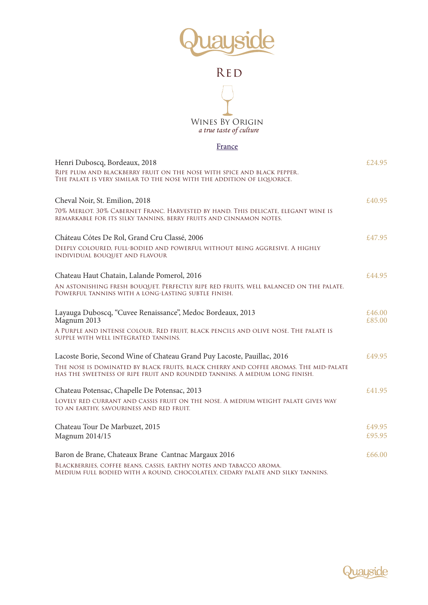



#### France

| Henri Duboscq, Bordeaux, 2018                                                                                                                                       | £24.95           |
|---------------------------------------------------------------------------------------------------------------------------------------------------------------------|------------------|
| RIPE PLUM AND BLACKBERRY FRUIT ON THE NOSE WITH SPICE AND BLACK PEPPER.<br>The palate is very similar to the nose with the addition of liquorice.                   |                  |
| Cheval Noir, St. Emilion, 2018                                                                                                                                      | £40.95           |
| 70% MERLOT. 30% CABERNET FRANC. HARVESTED BY HAND. THIS DELICATE, ELEGANT WINE IS<br>REMARKABLE FOR ITS SILKY TANNINS, BERRY FRUITS AND CINNAMON NOTES.             |                  |
| Cháteau Cótes De Rol, Grand Cru Classé, 2006                                                                                                                        | £47.95           |
| DEEPLY COLOURED, FULL-BODIED AND POWERFUL WITHOUT BEING AGGRESIVE. A HIGHLY<br>INDIVIDUAL BOUQUET AND FLAVOUR                                                       |                  |
| Chateau Haut Chatain, Lalande Pomerol, 2016                                                                                                                         | £44.95           |
| AN ASTONISHING FRESH BOUQUET. PERFECTLY RIPE RED FRUITS, WELL BALANCED ON THE PALATE.<br>POWERFUL TANNINS WITH A LONG-LASTING SUBTLE FINISH.                        |                  |
| Layauga Duboscq, "Cuvee Renaissance", Medoc Bordeaux, 2013<br>Magnum 2013                                                                                           | £46.00<br>£85.00 |
| A PURPLE AND INTENSE COLOUR. RED FRUIT, BLACK PENCILS AND OLIVE NOSE. THE PALATE IS<br>SUPPLE WITH WELL INTEGRATED TANNINS.                                         |                  |
| Lacoste Borie, Second Wine of Chateau Grand Puy Lacoste, Pauillac, 2016                                                                                             | £49.95           |
| THE NOSE IS DOMINATED BY BLACK FRUITS, BLACK CHERRY AND COFFEE AROMAS. THE MID-PALATE<br>HAS THE SWEETNESS OF RIPE FRUIT AND ROUNDED TANNINS. A MEDIUM LONG FINISH. |                  |
| Chateau Potensac, Chapelle De Potensac, 2013                                                                                                                        | £41.95           |
| LOVELY RED CURRANT AND CASSIS FRUIT ON THE NOSE. A MEDIUM WEIGHT PALATE GIVES WAY<br>TO AN EARTHY, SAVOURINESS AND RED FRUIT.                                       |                  |
| Chateau Tour De Marbuzet, 2015                                                                                                                                      | £49.95           |
| Magnum 2014/15                                                                                                                                                      | £95.95           |
| Baron de Brane, Chateaux Brane Cantnac Margaux 2016                                                                                                                 | £66.00           |
| BLACKBERRIES, COFFEE BEANS, CASSIS, EARTHY NOTES AND TABACCO AROMA.<br>Medium full bodied with a round, chocolately, cedary palate and silky tannins.               |                  |

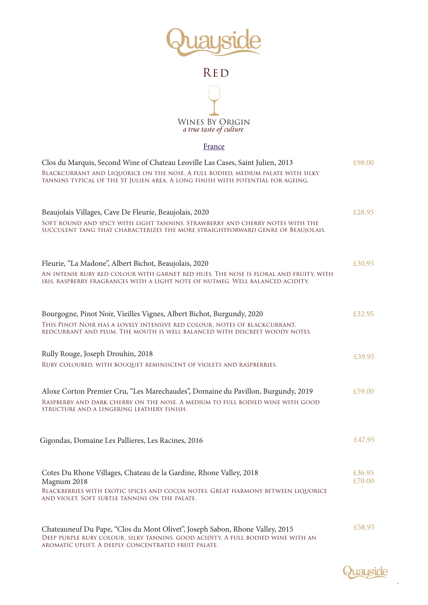



#### France

| Clos du Marquis, Second Wine of Chateau Leoville Las Cases, Saint Julien, 2013                                                                                         | £98.00 |
|------------------------------------------------------------------------------------------------------------------------------------------------------------------------|--------|
| BLACKCURRANT AND LIQUORICE ON THE NOSE. A FULL BODIED, MEDIUM PALATE WITH SILKY<br>TANNINS TYPICAL OF THE ST JULIEN AREA. A LONG FINISH WITH POTENTIAL FOR AGEING.     |        |
| Beaujolais Villages, Cave De Fleurie, Beaujolais, 2020                                                                                                                 | £28.95 |
| SOFT ROUND AND SPICY WITH LIGHT TANNINS. STRAWBERRY AND CHERRY NOTES WITH THE<br>SUCCULENT TANG THAT CHARACTERIZES THE MORE STRAIGHTFORWARD GENRE OF BEAUJOLAIS.       |        |
|                                                                                                                                                                        |        |
| Fleurie, "La Madone", Albert Bichot, Beaujolais, 2020                                                                                                                  | £30.95 |
| AN INTENSE RUBY RED COLOUR WITH GARNET RED HUES. THE NOSE IS FLORAL AND FRUITY, WITH<br>IRIS, RASPBERRY FRAGRANCES WITH A LIGHT NOTE OF NUTMEG. WELL BALANCED ACIDITY. |        |
|                                                                                                                                                                        |        |
| Bourgogne, Pinot Noir, Vieilles Vignes, Albert Bichot, Burgundy, 2020                                                                                                  | £32.95 |
| THIS PINOT NOIR HAS A LOVELY INTENSIVE RED COLOUR, NOTES OF BLACKCURRANT,<br>REDCURRANT AND PLUM. THE MOUTH IS WELL BALANCED WITH DISCREET WOODY NOTES.                |        |
| Rully Rouge, Joseph Drouhin, 2018                                                                                                                                      | £39.95 |
| RUBY COLOURED, WITH BOUQUET REMINISCENT OF VIOLETS AND RASPBERRIES.                                                                                                    |        |
| Aloxe Corton Premier Cru, "Les Marechaudes", Domaine du Pavillon, Burgundy, 2019                                                                                       | £59.00 |
| RASPBERRY AND DARK CHERRY ON THE NOSE. A MEDIUM TO FULL BODIED WINE WITH GOOD<br>STRUCTURE AND A LINGERING LEATHERY FINISH.                                            |        |
|                                                                                                                                                                        |        |
| Gigondas, Domaine Les Pallieres, Les Racines, 2016                                                                                                                     | £47.95 |
| Cotes Du Rhone Villages, Chateau de la Gardine, Rhone Valley, 2018                                                                                                     | £36.95 |
| Magnum 2018<br>BLACKBERRIES WITH EXOTIC SPICES AND COCOA NOTES. GREAT HARMONY BETWEEN LIQUORICE                                                                        | £70.00 |
| AND VIOLET. SOFT SUBTLE TANNINS ON THE PALATE.                                                                                                                         |        |
| Chateauneuf Du Pape, "Clos du Mont Olivet", Joseph Sabon, Rhone Valley, 2015                                                                                           | £58.95 |
| DEEP PURPLE RUBY COLOUR, SILKY TANNINS, GOOD ACIDITY. A FULL BODIED WINE WITH AN                                                                                       |        |

aromatic uplift. A deeply concentrated fruit palate.

Quayside

 $\ddot{\phantom{0}}$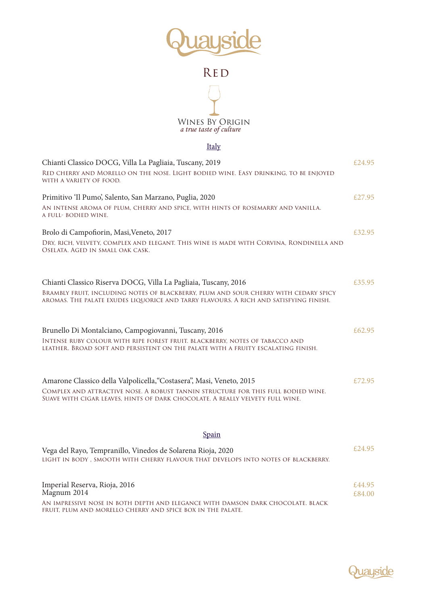



#### Italy

| Chianti Classico DOCG, Villa La Pagliaia, Tuscany, 2019<br>RED CHERRY AND MORELLO ON THE NOSE. LIGHT BODIED WINE. EASY DRINKING, TO BE ENJOYED<br>WITH A VARIETY OF FOOD.     | £24.95           |
|-------------------------------------------------------------------------------------------------------------------------------------------------------------------------------|------------------|
| Primitivo 'Il Pumo', Salento, San Marzano, Puglia, 2020                                                                                                                       | £27.95           |
| AN INTENSE AROMA OF PLUM, CHERRY AND SPICE, WITH HINTS OF ROSEMARRY AND VANILLA.<br>A FULL- BODIED WINE.                                                                      |                  |
| Brolo di Campofiorin, Masi, Veneto, 2017                                                                                                                                      | £32.95           |
| DRY, RICH, VELVETY, COMPLEX AND ELEGANT. THIS WINE IS MADE WITH CORVINA, RONDINELLA AND<br>OSELATA. AGED IN SMALL OAK CASK.                                                   |                  |
| Chianti Classico Riserva DOCG, Villa La Pagliaia, Tuscany, 2016                                                                                                               | £35.95           |
| BRAMBLY FRUIT, INCLUDING NOTES OF BLACKBERRY, PLUM AND SOUR CHERRY WITH CEDARY SPICY<br>aromas. The palate exudes liquorice and tarry flavours. A rich and satisfying finish. |                  |
| Brunello Di Montalciano, Campogiovanni, Tuscany, 2016                                                                                                                         | £62.95           |
| INTENSE RUBY COLOUR WITH RIPE FOREST FRUIT. BLACKBERRY, NOTES OF TABACCO AND<br>LEATHER. BROAD SOFT AND PERSISTENT ON THE PALATE WITH A FRUITY ESCALATING FINISH.             |                  |
| Amarone Classico della Valpolicella, "Costasera", Masi, Veneto, 2015                                                                                                          | £72.95           |
| COMPLEX AND ATTRACTIVE NOSE. A ROBUST TANNIN STRUCTURE FOR THIS FULL BODIED WINE.<br>Suave with cigar leaves, hints of dark chocolate. A really velvety full wine.            |                  |
| Spain                                                                                                                                                                         |                  |
|                                                                                                                                                                               | £24.95           |
| Vega del Rayo, Tempranillo, Vinedos de Solarena Rioja, 2020<br>LIGHT IN BODY, SMOOTH WITH CHERRY FLAVOUR THAT DEVELOPS INTO NOTES OF BLACKBERRY.                              |                  |
| Imperial Reserva, Rioja, 2016<br>Magnum 2014                                                                                                                                  | £44.95<br>£84.00 |
| AN IMPRESSIVE NOSE IN BOTH DEPTH AND ELEGANCE WITH DAMSON DARK CHOCOLATE. BLACK                                                                                               |                  |

fruit, plum and morello cherry and spice box in the palate.

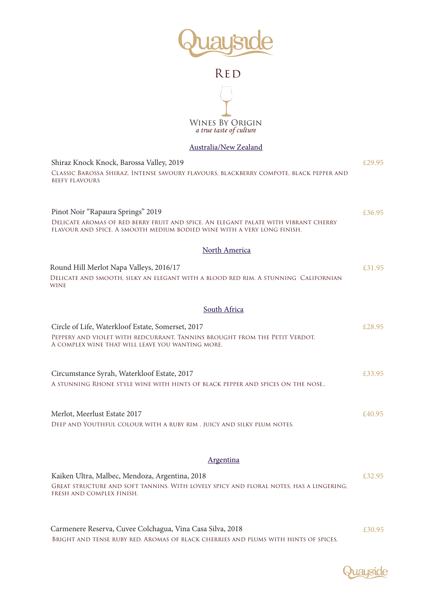



#### Australia/New Zealand

| Shiraz Knock Knock, Barossa Valley, 2019                                                                                                                                                            | £29.95 |
|-----------------------------------------------------------------------------------------------------------------------------------------------------------------------------------------------------|--------|
| CLASSIC BAROSSA SHIRAZ. INTENSE SAVOURY FLAVOURS, BLACKBERRY COMPOTE, BLACK PEPPER AND<br><b>BEEFY FLAVOURS</b>                                                                                     |        |
| Pinot Noir "Rapaura Springs" 2019<br>DELICATE AROMAS OF RED BERRY FRUIT AND SPICE. AN ELEGANT PALATE WITH VIBRANT CHERRY<br>FLAVOUR AND SPICE. A SMOOTH MEDIUM BODIED WINE WITH A VERY LONG FINISH. | £36.95 |
| North America                                                                                                                                                                                       |        |
| Round Hill Merlot Napa Valleys, 2016/17<br>DELICATE AND SMOOTH, SILKY AN ELEGANT WITH A BLOOD RED RIM. A STUNNING CALIFORNIAN<br>WINE                                                               | £31.95 |
| South Africa                                                                                                                                                                                        |        |
| Circle of Life, Waterkloof Estate, Somerset, 2017<br>PEPPERY AND VIOLET WITH REDCURRANT. TANNINS BROUGHT FROM THE PETIT VERDOT.<br>A COMPLEX WINE THAT WILL LEAVE YOU WANTING MORE.                 | £28.95 |
| Circumstance Syrah, Waterkloof Estate, 2017<br>A STUNNING RHONE STYLE WINE WITH HINTS OF BLACK PEPPER AND SPICES ON THE NOSE                                                                        | £33.95 |
| Merlot, Meerlust Estate 2017<br>DEEP AND YOUTHFUL COLOUR WITH A RUBY RIM. JUICY AND SILKY PLUM NOTES.                                                                                               | £40.95 |
| Argentina                                                                                                                                                                                           |        |
| Kaiken Ultra, Malbec, Mendoza, Argentina, 2018<br>GREAT STRUCTURE AND SOFT TANNINS. WITH LOVELY SPICY AND FLORAL NOTES, HAS A LINGERING,<br>FRESH AND COMPLEX FINISH.                               | £32.95 |
|                                                                                                                                                                                                     |        |

Bright and tense ruby red. Aromas of black cherries and plums with hints of spices. Carmenere Reserva, Cuvee Colchagua, Vina Casa Silva, 2018 £30.95

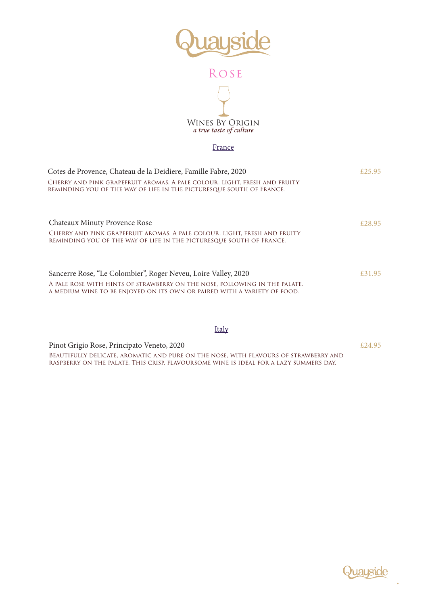

## Rose



#### France

| Cotes de Provence, Chateau de la Deidiere, Famille Fabre, 2020                                                                                                                                                           | $f$ 2.5 95 |
|--------------------------------------------------------------------------------------------------------------------------------------------------------------------------------------------------------------------------|------------|
| Cherry and pink grapefruit aromas. A pale colour. Light, fresh and fruity<br>REMINDING YOU OF THE WAY OF LIFE IN THE PICTURESQUE SOUTH OF FRANCE.                                                                        |            |
| Chateaux Minuty Provence Rose<br>CHERRY AND PINK GRAPEFRUIT AROMAS. A PALE COLOUR. LIGHT, FRESH AND FRUITY<br>REMINDING YOU OF THE WAY OF LIFE IN THE PICTURESQUE SOUTH OF FRANCE.                                       | £28.95     |
| Sancerre Rose, "Le Colombier", Roger Neveu, Loire Valley, 2020<br>A PALE ROSE WITH HINTS OF STRAWBERRY ON THE NOSE, FOLLOWING IN THE PALATE.<br>A MEDIUM WINE TO BE ENJOYED ON ITS OWN OR PAIRED WITH A VARIETY OF FOOD. | £31.95     |

#### Italy

Beautifully delicate, aromatic and pure on the nose, with flavours of strawberry and raspberry on the palate. This crisp, flavoursome wine is ideal for a lazy summer's day. Pinot Grigio Rose, Principato Veneto, 2020 **Example 2018**  $E24.95$ 

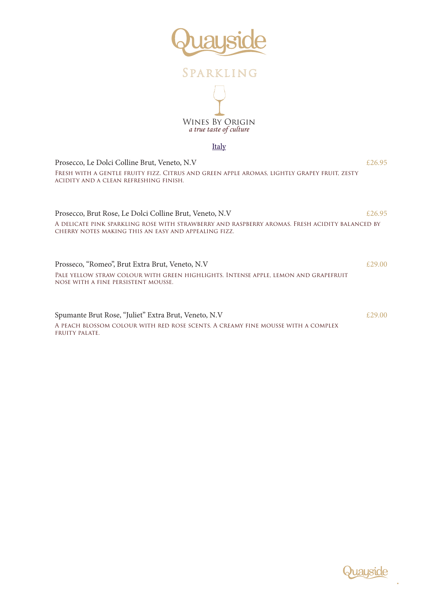

## Sparkling



#### Italy

Prosecco, Le Dolci Colline Brut, Veneto, N.V  $\epsilon$ 26.95 Fresh with a gentle fruity fizz. Citrus and green apple aromas, lightly grapey fruit, zesty acidity and a clean refreshing finish.

Prosecco, Brut Rose, Le Dolci Colline Brut, Veneto, N.V  $£26.95$ A delicate pink sparkling rose with strawberry and raspberry aromas. Fresh acidity balanced by cherry notes making this an easy and appealing fizz.

Prosseco, "Romeo", Brut Extra Brut, Veneto, N.V  $£29.00$ Pale yellow straw colour with green highlights. Intense apple, lemon and grapefruit nose with a fine persistent mousse.

Spumante Brut Rose, "Juliet" Extra Brut, Veneto, N.V  $£29.00$ A peach blossom colour with red rose scents. A creamy fine mousse with a complex fruity palate.